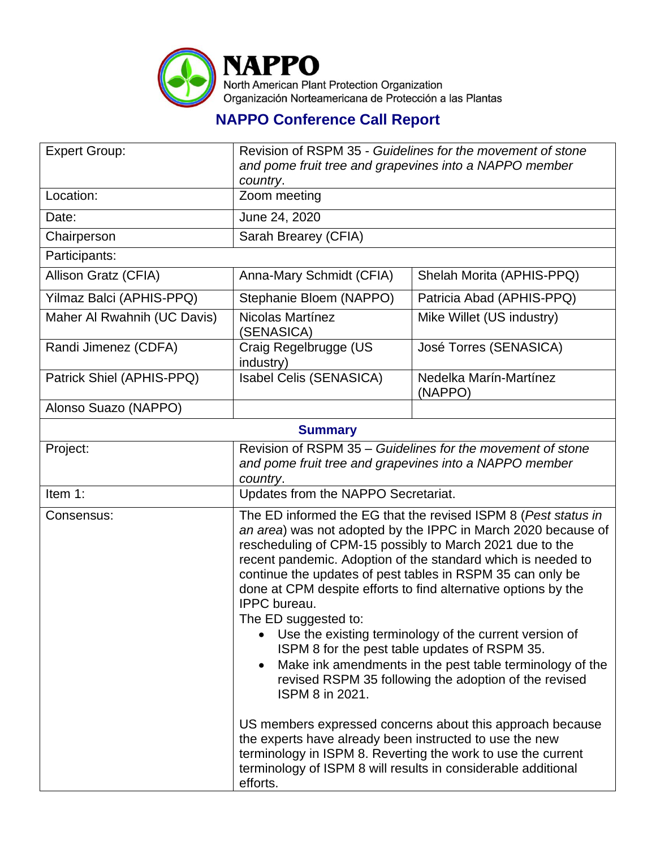

## **NAPPO Conference Call Report**

| <b>Expert Group:</b>        | Revision of RSPM 35 - Guidelines for the movement of stone<br>and pome fruit tree and grapevines into a NAPPO member                                                                                                                                                                                                                                                                                                                                                                                                                                                                                                                                                                                |                                                            |
|-----------------------------|-----------------------------------------------------------------------------------------------------------------------------------------------------------------------------------------------------------------------------------------------------------------------------------------------------------------------------------------------------------------------------------------------------------------------------------------------------------------------------------------------------------------------------------------------------------------------------------------------------------------------------------------------------------------------------------------------------|------------------------------------------------------------|
| Location:                   | country.<br>Zoom meeting                                                                                                                                                                                                                                                                                                                                                                                                                                                                                                                                                                                                                                                                            |                                                            |
| Date:                       | June 24, 2020                                                                                                                                                                                                                                                                                                                                                                                                                                                                                                                                                                                                                                                                                       |                                                            |
| Chairperson                 | Sarah Brearey (CFIA)                                                                                                                                                                                                                                                                                                                                                                                                                                                                                                                                                                                                                                                                                |                                                            |
| Participants:               |                                                                                                                                                                                                                                                                                                                                                                                                                                                                                                                                                                                                                                                                                                     |                                                            |
| Allison Gratz (CFIA)        | Anna-Mary Schmidt (CFIA)                                                                                                                                                                                                                                                                                                                                                                                                                                                                                                                                                                                                                                                                            | Shelah Morita (APHIS-PPQ)                                  |
| Yilmaz Balci (APHIS-PPQ)    | Stephanie Bloem (NAPPO)                                                                                                                                                                                                                                                                                                                                                                                                                                                                                                                                                                                                                                                                             | Patricia Abad (APHIS-PPQ)                                  |
| Maher Al Rwahnih (UC Davis) | <b>Nicolas Martínez</b><br>(SENASICA)                                                                                                                                                                                                                                                                                                                                                                                                                                                                                                                                                                                                                                                               | Mike Willet (US industry)                                  |
| Randi Jimenez (CDFA)        | Craig Regelbrugge (US<br>industry)                                                                                                                                                                                                                                                                                                                                                                                                                                                                                                                                                                                                                                                                  | José Torres (SENASICA)                                     |
| Patrick Shiel (APHIS-PPQ)   | Isabel Celis (SENASICA)                                                                                                                                                                                                                                                                                                                                                                                                                                                                                                                                                                                                                                                                             | Nedelka Marín-Martínez<br>(NAPPO)                          |
| Alonso Suazo (NAPPO)        |                                                                                                                                                                                                                                                                                                                                                                                                                                                                                                                                                                                                                                                                                                     |                                                            |
| <b>Summary</b>              |                                                                                                                                                                                                                                                                                                                                                                                                                                                                                                                                                                                                                                                                                                     |                                                            |
| Project:                    | and pome fruit tree and grapevines into a NAPPO member<br>country.                                                                                                                                                                                                                                                                                                                                                                                                                                                                                                                                                                                                                                  | Revision of RSPM 35 – Guidelines for the movement of stone |
| Item 1:                     | Updates from the NAPPO Secretariat.                                                                                                                                                                                                                                                                                                                                                                                                                                                                                                                                                                                                                                                                 |                                                            |
| Consensus:                  | The ED informed the EG that the revised ISPM 8 (Pest status in<br>an area) was not adopted by the IPPC in March 2020 because of<br>rescheduling of CPM-15 possibly to March 2021 due to the<br>recent pandemic. Adoption of the standard which is needed to<br>continue the updates of pest tables in RSPM 35 can only be<br>done at CPM despite efforts to find alternative options by the<br>IPPC bureau.<br>The ED suggested to:<br>Use the existing terminology of the current version of<br>ISPM 8 for the pest table updates of RSPM 35.<br>Make ink amendments in the pest table terminology of the<br>$\bullet$<br>revised RSPM 35 following the adoption of the revised<br>ISPM 8 in 2021. |                                                            |
|                             | US members expressed concerns about this approach because<br>the experts have already been instructed to use the new<br>terminology in ISPM 8. Reverting the work to use the current<br>terminology of ISPM 8 will results in considerable additional<br>efforts.                                                                                                                                                                                                                                                                                                                                                                                                                                   |                                                            |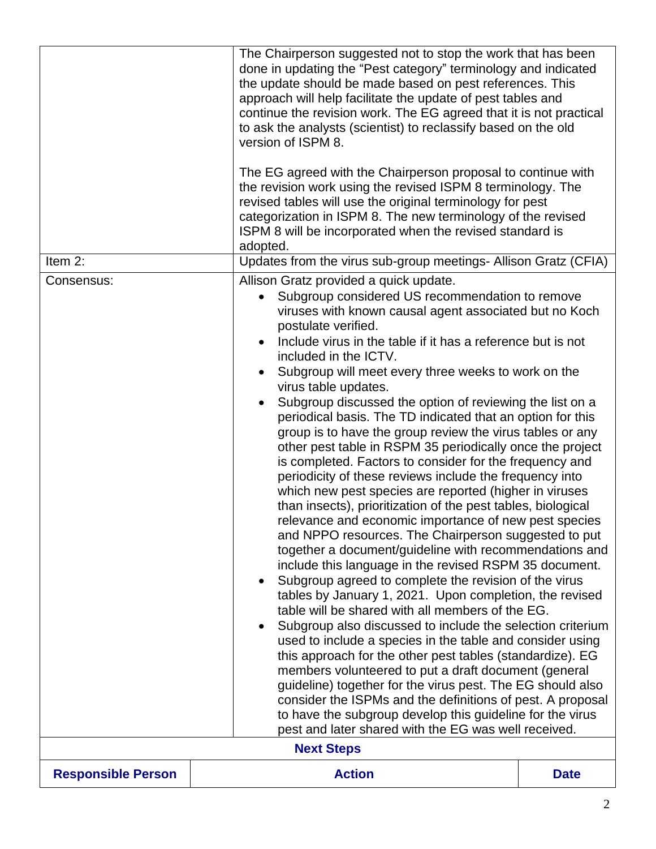|                           | The Chairperson suggested not to stop the work that has been<br>done in updating the "Pest category" terminology and indicated<br>the update should be made based on pest references. This<br>approach will help facilitate the update of pest tables and<br>continue the revision work. The EG agreed that it is not practical<br>to ask the analysts (scientist) to reclassify based on the old<br>version of ISPM 8.<br>The EG agreed with the Chairperson proposal to continue with<br>the revision work using the revised ISPM 8 terminology. The<br>revised tables will use the original terminology for pest<br>categorization in ISPM 8. The new terminology of the revised<br>ISPM 8 will be incorporated when the revised standard is<br>adopted.                                                                                                                                                                                                                                                                                                                                                                                                                                                                                                                                                                                                                                                                                                                                                                                                                                                                                                                                                                                                                                                                                                      |             |
|---------------------------|------------------------------------------------------------------------------------------------------------------------------------------------------------------------------------------------------------------------------------------------------------------------------------------------------------------------------------------------------------------------------------------------------------------------------------------------------------------------------------------------------------------------------------------------------------------------------------------------------------------------------------------------------------------------------------------------------------------------------------------------------------------------------------------------------------------------------------------------------------------------------------------------------------------------------------------------------------------------------------------------------------------------------------------------------------------------------------------------------------------------------------------------------------------------------------------------------------------------------------------------------------------------------------------------------------------------------------------------------------------------------------------------------------------------------------------------------------------------------------------------------------------------------------------------------------------------------------------------------------------------------------------------------------------------------------------------------------------------------------------------------------------------------------------------------------------------------------------------------------------|-------------|
| Item 2:                   |                                                                                                                                                                                                                                                                                                                                                                                                                                                                                                                                                                                                                                                                                                                                                                                                                                                                                                                                                                                                                                                                                                                                                                                                                                                                                                                                                                                                                                                                                                                                                                                                                                                                                                                                                                                                                                                                  |             |
| Consensus:                | Updates from the virus sub-group meetings- Allison Gratz (CFIA)<br>Allison Gratz provided a quick update.<br>Subgroup considered US recommendation to remove<br>viruses with known causal agent associated but no Koch<br>postulate verified.<br>Include virus in the table if it has a reference but is not<br>included in the ICTV.<br>Subgroup will meet every three weeks to work on the<br>virus table updates.<br>Subgroup discussed the option of reviewing the list on a<br>periodical basis. The TD indicated that an option for this<br>group is to have the group review the virus tables or any<br>other pest table in RSPM 35 periodically once the project<br>is completed. Factors to consider for the frequency and<br>periodicity of these reviews include the frequency into<br>which new pest species are reported (higher in viruses<br>than insects), prioritization of the pest tables, biological<br>relevance and economic importance of new pest species<br>and NPPO resources. The Chairperson suggested to put<br>together a document/guideline with recommendations and<br>include this language in the revised RSPM 35 document.<br>Subgroup agreed to complete the revision of the virus<br>$\bullet$<br>tables by January 1, 2021. Upon completion, the revised<br>table will be shared with all members of the EG.<br>Subgroup also discussed to include the selection criterium<br>$\bullet$<br>used to include a species in the table and consider using<br>this approach for the other pest tables (standardize). EG<br>members volunteered to put a draft document (general<br>guideline) together for the virus pest. The EG should also<br>consider the ISPMs and the definitions of pest. A proposal<br>to have the subgroup develop this guideline for the virus<br>pest and later shared with the EG was well received. |             |
| <b>Next Steps</b>         |                                                                                                                                                                                                                                                                                                                                                                                                                                                                                                                                                                                                                                                                                                                                                                                                                                                                                                                                                                                                                                                                                                                                                                                                                                                                                                                                                                                                                                                                                                                                                                                                                                                                                                                                                                                                                                                                  |             |
| <b>Responsible Person</b> | <b>Action</b>                                                                                                                                                                                                                                                                                                                                                                                                                                                                                                                                                                                                                                                                                                                                                                                                                                                                                                                                                                                                                                                                                                                                                                                                                                                                                                                                                                                                                                                                                                                                                                                                                                                                                                                                                                                                                                                    | <b>Date</b> |